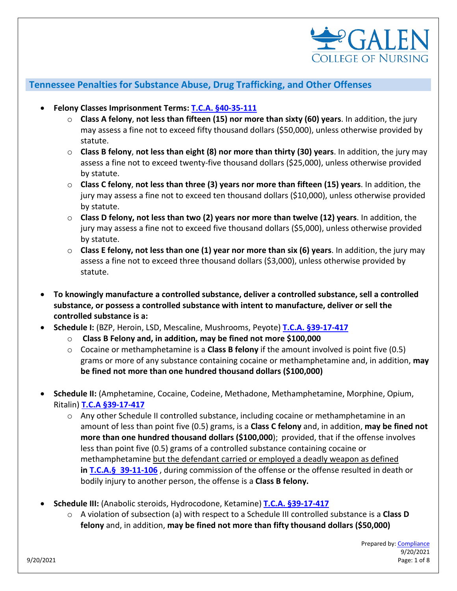

## **Tennessee Penalties for Substance Abuse, Drug Trafficking, and Other Offenses**

- **Felony Classes Imprisonment Terms: T.C.A. [§40-35-111](https://law.justia.com/codes/tennessee/2010/title-40/chapter-35/part-1/40-35-111/)**
	- o **Class A felony**, **not less than fifteen (15) nor more than sixty (60) years**. In addition, the jury may assess a fine not to exceed fifty thousand dollars (\$50,000), unless otherwise provided by statute.
	- o **Class B felony**, **not less than eight (8) nor more than thirty (30) years**. In addition, the jury may assess a fine not to exceed twenty-five thousand dollars (\$25,000), unless otherwise provided by statute.
	- o **Class C felony**, **not less than three (3) years nor more than fifteen (15) years**. In addition, the jury may assess a fine not to exceed ten thousand dollars (\$10,000), unless otherwise provided by statute.
	- o **Class D felony, not less than two (2) years nor more than twelve (12) years**. In addition, the jury may assess a fine not to exceed five thousand dollars (\$5,000), unless otherwise provided by statute.
	- o **Class E felony, not less than one (1) year nor more than six (6) years**. In addition, the jury may assess a fine not to exceed three thousand dollars (\$3,000), unless otherwise provided by statute.
- **To knowingly manufacture a controlled substance, deliver a controlled substance, sell a controlled substance, or possess a controlled substance with intent to manufacture, deliver or sell the controlled substance is a:**
- **Schedule I:** (BZP, Heroin, LSD, Mescaline, Mushrooms, Peyote) **[T.C.A. §39-17-417](https://law.justia.com/codes/tennessee/2010/title-39/chapter-17/part-4/39-17-417/)**
	- o **Class B Felony and, in addition, may be fined not more \$100,000**
	- o Cocaine or methamphetamine is a **Class B felony** if the amount involved is point five (0.5) grams or more of any substance containing cocaine or methamphetamine and, in addition, **may be fined not more than one hundred thousand dollars (\$100,000)**
- **Schedule II:** (Amphetamine, Cocaine, Codeine, Methadone, Methamphetamine, Morphine, Opium, Ritalin) **[T.C.A §39-17-417](https://law.justia.com/codes/tennessee/2010/title-39/chapter-17/part-4/39-17-417/)**
	- $\circ$  Any other Schedule II controlled substance, including cocaine or methamphetamine in an amount of less than point five (0.5) grams, is a **Class C felony** and, in addition, **may be fined not more than one hundred thousand dollars (\$100,000**);  provided, that if the offense involves less than point five (0.5) grams of a controlled substance containing cocaine or methamphetamine but the defendant carried or employed a deadly weapon as defined **in T.C.A.§ [39-11-106](https://law.justia.com/codes/tennessee/2010/title-39/chapter-11/part-1/39-11-106)** , during commission of the offense or the offense resulted in death or bodily injury to another person, the offense is a **Class B felony.**
- **Schedule III:** (Anabolic steroids, Hydrocodone, Ketamine) **[T.C.A. §39-17-417](https://law.justia.com/codes/tennessee/2010/title-39/chapter-17/part-4/39-17-417/)**
	- o A violation of subsection (a) with respect to a Schedule III controlled substance is a **Class D felony** and, in addition, **may be fined not more than fifty thousand dollars (\$50,000)**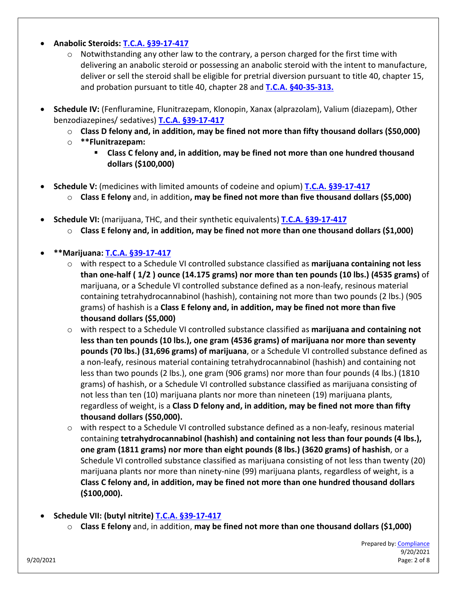### • **Anabolic Steroids: [T.C.A. §39-17-417](https://law.justia.com/codes/tennessee/2010/title-39/chapter-17/part-4/39-17-417/)**

- $\circ$  Notwithstanding any other law to the contrary, a person charged for the first time with delivering an anabolic steroid or possessing an anabolic steroid with the intent to manufacture, deliver or sell the steroid shall be eligible for pretrial diversion pursuant to title 40, chapter 15, and probation pursuant to title 40, chapter 28 and **[T.C.A. §40-35-313.](https://law.justia.com/codes/tennessee/2019/title-40/chapter-35/part-3/section-40-35-313/)**
- **Schedule IV:** (Fenfluramine, Flunitrazepam, Klonopin, Xanax (alprazolam), Valium (diazepam), Other benzodiazepines/ sedatives) **[T.C.A. §39-17-417](https://law.justia.com/codes/tennessee/2010/title-39/chapter-17/part-4/39-17-417/)**
	- o **Class D felony and, in addition, may be fined not more than fifty thousand dollars (\$50,000)**
	- o **\*\*Flunitrazepam:**
		- **Class C felony and, in addition, may be fined not more than one hundred thousand dollars (\$100,000)**
- **Schedule V:** (medicines with limited amounts of codeine and opium) **[T.C.A. §39-17-417](https://law.justia.com/codes/tennessee/2010/title-39/chapter-17/part-4/39-17-417/)**
	- o **Class E felony** and, in addition**, may be fined not more than five thousand dollars (\$5,000)**
- **Schedule VI:** (marijuana, THC, and their synthetic equivalents) **[T.C.A. §39-17-417](https://law.justia.com/codes/tennessee/2010/title-39/chapter-17/part-4/39-17-417/)**
	- o **Class E felony and, in addition, may be fined not more than one thousand dollars (\$1,000)**

## • **\*\*Marijuana: [T.C.A. §39-17-417](https://law.justia.com/codes/tennessee/2010/title-39/chapter-17/part-4/39-17-417/)**

- o with respect to a Schedule VI controlled substance classified as **marijuana containing not less than one-half ( 1/2 ) ounce (14.175 grams) nor more than ten pounds (10 lbs.) (4535 grams)** of marijuana, or a Schedule VI controlled substance defined as a non-leafy, resinous material containing tetrahydrocannabinol (hashish), containing not more than two pounds (2 lbs.) (905 grams) of hashish is a **Class E felony and, in addition, may be fined not more than five thousand dollars (\$5,000)**
- o with respect to a Schedule VI controlled substance classified as **marijuana and containing not less than ten pounds (10 lbs.), one gram (4536 grams) of marijuana nor more than seventy pounds (70 lbs.) (31,696 grams) of marijuana**, or a Schedule VI controlled substance defined as a non-leafy, resinous material containing tetrahydrocannabinol (hashish) and containing not less than two pounds (2 lbs.), one gram (906 grams) nor more than four pounds (4 lbs.) (1810 grams) of hashish, or a Schedule VI controlled substance classified as marijuana consisting of not less than ten (10) marijuana plants nor more than nineteen (19) marijuana plants, regardless of weight, is a **Class D felony and, in addition, may be fined not more than fifty thousand dollars (\$50,000).**
- $\circ$  with respect to a Schedule VI controlled substance defined as a non-leafy, resinous material containing **tetrahydrocannabinol (hashish) and containing not less than four pounds (4 lbs.), one gram (1811 grams) nor more than eight pounds (8 lbs.) (3620 grams) of hashish**, or a Schedule VI controlled substance classified as marijuana consisting of not less than twenty (20) marijuana plants nor more than ninety-nine (99) marijuana plants, regardless of weight, is a **Class C felony and, in addition, may be fined not more than one hundred thousand dollars (\$100,000).**
- **Schedule VII: (butyl nitrite) [T.C.A. §39-17-417](https://law.justia.com/codes/tennessee/2010/title-39/chapter-17/part-4/39-17-417/)**
	- o **Class E felony** and, in addition, **may be fined not more than one thousand dollars (\$1,000)**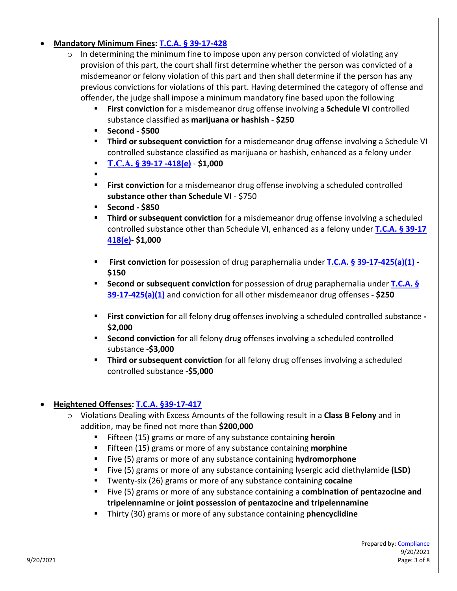### • **Mandatory Minimum Fines[: T.C.A. § 39-17-428](https://law.justia.com/codes/tennessee/2015/title-39/chapter-17/part-4/section-39-17-428/)**

- $\circ$  In determining the minimum fine to impose upon any person convicted of violating any provision of this part, the court shall first determine whether the person was convicted of a misdemeanor or felony violation of this part and then shall determine if the person has any previous convictions for violations of this part. Having determined the category of offense and offender, the judge shall impose a minimum mandatory fine based upon the following
	- **First conviction** for a misdemeanor drug offense involving a **Schedule VI** controlled substance classified as **marijuana or hashish** - **\$250**
	- **Second - \$500**
	- **Third or subsequent conviction** for a misdemeanor drug offense involving a Schedule VI controlled substance classified as marijuana or hashish, enhanced as a felony under
	- **T.C.A. [§ 39-17 -418\(e\)](https://law.justia.com/codes/tennessee/2014/title-39/chapter-17/part-4/section-39-17-418/) \$1,000**
	- .
	- **First conviction** for a misdemeanor drug offense involving a scheduled controlled **substance other than Schedule VI** - \$750
	- **Second - \$850**
	- **Third or subsequent conviction** for a misdemeanor drug offense involving a scheduled controlled substance other than Schedule VI, enhanced as a felony under **[T.C.A. § 39-17](https://law.justia.com/codes/tennessee/2014/title-39/chapter-17/part-4/section-39-17-418/)  [418\(e\)](https://law.justia.com/codes/tennessee/2014/title-39/chapter-17/part-4/section-39-17-418/)**- **\$1,000**
	- **First conviction** for possession of drug paraphernalia under **[T.C.A. § 39-17-425\(a\)\(1\)](https://law.justia.com/codes/tennessee/2019/title-39/chapter-17/part-4/section-39-17-425/) \$150**
	- **Second or subsequent conviction** for possession of drug paraphernalia under **[T.C.A. §](https://law.justia.com/codes/tennessee/2019/title-39/chapter-17/part-4/section-39-17-425/)  [39-17-425\(a\)\(1\)](https://law.justia.com/codes/tennessee/2019/title-39/chapter-17/part-4/section-39-17-425/)** and conviction for all other misdemeanor drug offenses **- \$250**
	- **First conviction** for all felony drug offenses involving a scheduled controlled substance **- \$2,000**
	- **Second conviction** for all felony drug offenses involving a scheduled controlled substance **-\$3,000**
	- **Third or subsequent conviction** for all felony drug offenses involving a scheduled controlled substance **-\$5,000**

# • **Heightened Offenses: [T.C.A. §39-17-417](https://law.justia.com/codes/tennessee/2010/title-39/chapter-17/part-4/39-17-417/)**

- o Violations Dealing with Excess Amounts of the following result in a **Class B Felony** and in addition, may be fined not more than **\$200,000**
	- Fifteen (15) grams or more of any substance containing **heroin**
	- Fifteen (15) grams or more of any substance containing **morphine**
	- Five (5) grams or more of any substance containing **hydromorphone**
	- Five (5) grams or more of any substance containing lysergic acid diethylamide **(LSD)**
	- Twenty-six (26) grams or more of any substance containing **cocaine**
	- Five (5) grams or more of any substance containing a **combination of pentazocine and tripelennamine** or **joint possession of pentazocine and tripelennamine**
	- Thirty (30) grams or more of any substance containing **phencyclidine**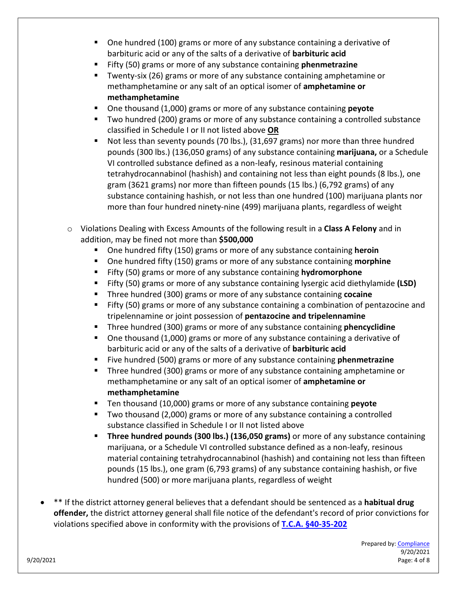- One hundred (100) grams or more of any substance containing a derivative of barbituric acid or any of the salts of a derivative of **barbituric acid**
- Fifty (50) grams or more of any substance containing **phenmetrazine**
- Twenty-six (26) grams or more of any substance containing amphetamine or methamphetamine or any salt of an optical isomer of **amphetamine or methamphetamine**
- One thousand (1,000) grams or more of any substance containing **peyote**
- **Two hundred (200) grams or more of any substance containing a controlled substance** classified in Schedule I or II not listed above **OR**
- Not less than seventy pounds (70 lbs.), (31,697 grams) nor more than three hundred pounds (300 lbs.) (136,050 grams) of any substance containing **marijuana,** or a Schedule VI controlled substance defined as a non-leafy, resinous material containing tetrahydrocannabinol (hashish) and containing not less than eight pounds (8 lbs.), one gram (3621 grams) nor more than fifteen pounds (15 lbs.) (6,792 grams) of any substance containing hashish, or not less than one hundred (100) marijuana plants nor more than four hundred ninety-nine (499) marijuana plants, regardless of weight
- o Violations Dealing with Excess Amounts of the following result in a **Class A Felony** and in addition, may be fined not more than **\$500,000**
	- One hundred fifty (150) grams or more of any substance containing **heroin**
	- One hundred fifty (150) grams or more of any substance containing **morphine**
	- Fifty (50) grams or more of any substance containing **hydromorphone**
	- Fifty (50) grams or more of any substance containing lysergic acid diethylamide **(LSD)**
	- Three hundred (300) grams or more of any substance containing **cocaine**
	- Fifty (50) grams or more of any substance containing a combination of pentazocine and tripelennamine or joint possession of **pentazocine and tripelennamine**
	- Three hundred (300) grams or more of any substance containing **phencyclidine**
	- One thousand (1,000) grams or more of any substance containing a derivative of barbituric acid or any of the salts of a derivative of **barbituric acid**
	- Five hundred (500) grams or more of any substance containing **phenmetrazine**
	- Three hundred (300) grams or more of any substance containing amphetamine or methamphetamine or any salt of an optical isomer of **amphetamine or methamphetamine**
	- Ten thousand (10,000) grams or more of any substance containing **peyote**
	- **Two thousand (2,000) grams or more of any substance containing a controlled** substance classified in Schedule I or II not listed above
	- **Three hundred pounds (300 lbs.) (136,050 grams)** or more of any substance containing marijuana, or a Schedule VI controlled substance defined as a non-leafy, resinous material containing tetrahydrocannabinol (hashish) and containing not less than fifteen pounds (15 lbs.), one gram (6,793 grams) of any substance containing hashish, or five hundred (500) or more marijuana plants, regardless of weight
- \*\* If the district attorney general believes that a defendant should be sentenced as a **habitual drug offender,** the district attorney general shall file notice of the defendant's record of prior convictions for violations specified above in conformity with the provisions of **[T.C.A. §40-35-202](https://codes.findlaw.com/tn/title-40-criminal-procedure/tn-code-sect-40-35-202.html)**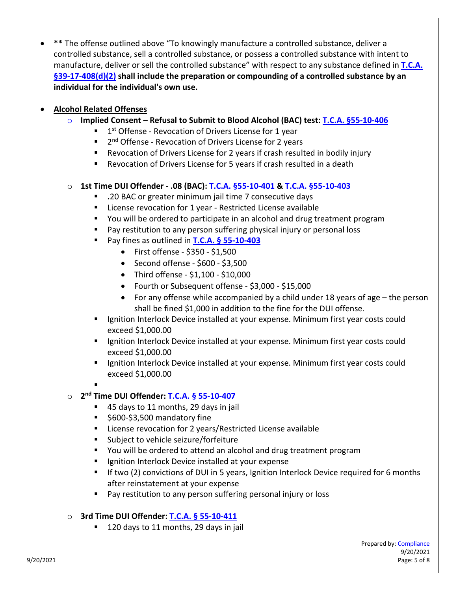• **\*\*** The offense outlined above "To knowingly manufacture a controlled substance, deliver a controlled substance, sell a controlled substance, or possess a controlled substance with intent to manufacture, deliver or sell the controlled substance" with respect to any substance defined in **[T.C.A.](https://law.justia.com/codes/tennessee/2010/title-39/chapter-17/part-4/39-17-408/)  [§39-17-408\(d\)\(2\)](https://law.justia.com/codes/tennessee/2010/title-39/chapter-17/part-4/39-17-408/) shall include the preparation or compounding of a controlled substance by an individual for the individual's own use.**

# • **Alcohol Related Offenses**

- o **Implied Consent – Refusal to Submit to Blood Alcohol (BAC) test: [T.C.A. §55-10-406](https://law.justia.com/codes/tennessee/2010/title-55/chapter-10/part-4/55-10-406/)**
	- $1$ <sup>st</sup> Offense Revocation of Drivers License for 1 year
	- 2<sup>nd</sup> Offense Revocation of Drivers License for 2 years
	- Revocation of Drivers License for 2 years if crash resulted in bodily injury
	- Revocation of Drivers License for 5 years if crash resulted in a death

## o **1st Time DUI Offender - .08 (BAC): [T.C.A. §55-10-401](https://law.justia.com/codes/tennessee/2010/title-55/chapter-10/part-4/55-10-401/) & [T.C.A. §55-10-403](https://law.justia.com/codes/tennessee/2016/title-55/chapter-10/part-4/section-55-10-403/#:%7E:text=Fines%20for%20violations%20of%20%C2%A7%2055%2D10%2D401%20%2D%2D%20Restitution.,-Universal%20Citation%3A%20TN&text=(a)%20A%20person%20convicted%20for,shall%20be%20fined%20as%20follows%3A&text=(4)%20For%20a%20fourth%20or,thousand%20dollars%20(%2415%2C000)%3B)**

- **.**20 BAC or greater minimum jail time 7 consecutive days
- **E** License revocation for 1 year Restricted License available
- You will be ordered to participate in an alcohol and drug treatment program
- **Pay restitution to any person suffering physical injury or personal loss**
- Pay fines as outlined in **[T.C.A. § 55-10-403](https://law.justia.com/codes/tennessee/2016/title-55/chapter-10/part-4/section-55-10-403/)** 
	- First offense \$350 \$1,500
	- Second offense \$600 \$3,500
	- Third offense \$1,100 \$10,000
	- Fourth or Subsequent offense \$3,000 \$15,000
	- For any offense while accompanied by a child under 18 years of age the person shall be fined \$1,000 in addition to the fine for the DUI offense.
- **If** Ignition Interlock Device installed at your expense. Minimum first year costs could exceed \$1,000.00
- **If all interlack Device installed at your expense. Minimum first year costs could interact** exceed \$1,000.00
- **If all interlack Device installed at your expense. Minimum first year costs could interally** exceed \$1,000.00

# o **2nd Time DUI Offender: T.C.A. § 55-10-407**

- 45 days to 11 months, 29 days in jail
- \$600-\$3,500 mandatory fine
- **E** License revocation for 2 years/Restricted License available
- Subject to vehicle seizure/forfeiture
- You will be ordered to attend an alcohol and drug treatment program
- **EXEC** Ignition Interlock Device installed at your expense
- If two (2) convictions of DUI in 5 years, Ignition Interlock Device required for 6 months after reinstatement at your expense
- **Pay restitution to any person suffering personal injury or loss**

### o **3rd Time DUI Offender: [T.C.A. § 55-10-411](https://codes.findlaw.com/tn/title-55-motor-and-other-vehicles/tn-code-sect-55-10-411.html)**

■ 120 days to 11 months, 29 days in jail

<sup>.</sup>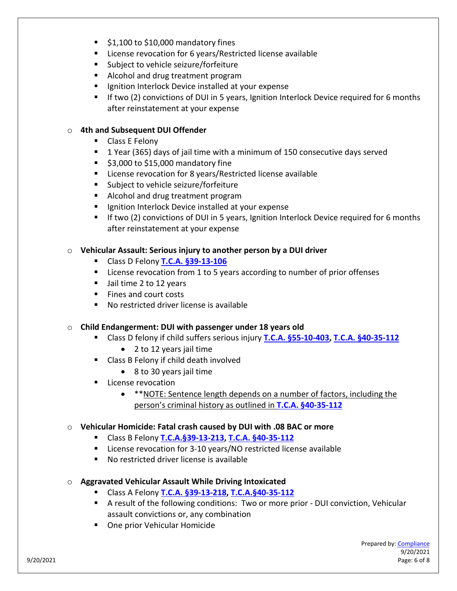- $\blacktriangleright$  \$1,100 to \$10,000 mandatory fines
- License revocation for 6 years/Restricted license available
- **Subject to vehicle seizure/forfeiture**
- Alcohol and drug treatment program
- **If** Ignition Interlock Device installed at your expense
- **If two (2) convictions of DUI in 5 years, Ignition Interlock Device required for 6 months** after reinstatement at your expense

### o **4th and Subsequent DUI Offender**

- **Class E Felony**
- 1 Year (365) days of jail time with a minimum of 150 consecutive days served
- $\sim$  \$3,000 to \$15,000 mandatory fine
- **EXECT** License revocation for 8 years/Restricted license available
- **Subject to vehicle seizure/forfeiture**
- Alcohol and drug treatment program
- **If** Ignition Interlock Device installed at your expense
- **IF IF two (2) convictions of DUI in 5 years, Ignition Interlock Device required for 6 months** after reinstatement at your expense

### o **Vehicular Assault: Serious injury to another person by a DUI driver**

- Class D Felony **[T.C.A. §39-13-106](https://law.justia.com/codes/tennessee/2015/title-39/chapter-13/part-1/section-39-13-106)**
- License revocation from 1 to 5 years according to number of prior offenses
- Usil time 2 to 12 years
- Fines and court costs
- No restricted driver license is available

### o **Child Endangerment: DUI with passenger under 18 years old**

- Class D felony if child suffers serious injury **[T.C.A. §55-10-403,](https://law.justia.com/codes/tennessee/2016/title-55/chapter-10/part-4/section-55-10-403/) [T.C.A. §40-35-112](https://law.justia.com/codes/tennessee/2010/title-40/chapter-35/part-1/40-35-112/)**
	- 2 to 12 years jail time
- Class B Felony if child death involved
	- 8 to 30 years jail time
- **License revocation** 
	- \*\*NOTE: Sentence length depends on a number of factors, including the person's criminal history as outlined in **[T.C.A. §40-35-112](https://law.justia.com/codes/tennessee/2010/title-40/chapter-35/part-1/40-35-112/)**

### o **Vehicular Homicide: Fatal crash caused by DUI with .08 BAC or more**

- Class B Felony **[T.C.A.§39-13-213,](https://law.justia.com/codes/tennessee/2010/title-39/chapter-13/part-2/39-13-213/) [T.C.A. §40-35-112](https://law.justia.com/codes/tennessee/2010/title-40/chapter-35/part-1/40-35-112/)**
- License revocation for 3-10 years/NO restricted license available
- No restricted driver license is available
- o **Aggravated Vehicular Assault While Driving Intoxicated**
	- Class A Felony **[T.C.A. §39-13-218,](https://law.justia.com/codes/tennessee/2010/title-39/chapter-13/part-2/39-13-218/#:%7E:text=39%2D13%2D218.,Aggravated%20vehicular%20homicide.&text=(B)%20Vehicular%20assault.) [T.C.A.§40-35-112](https://law.justia.com/codes/tennessee/2010/title-40/chapter-35/part-1/40-35-112/)**
	- A result of the following conditions: Two or more prior DUI conviction, Vehicular assault convictions or, any combination
	- **One prior Vehicular Homicide**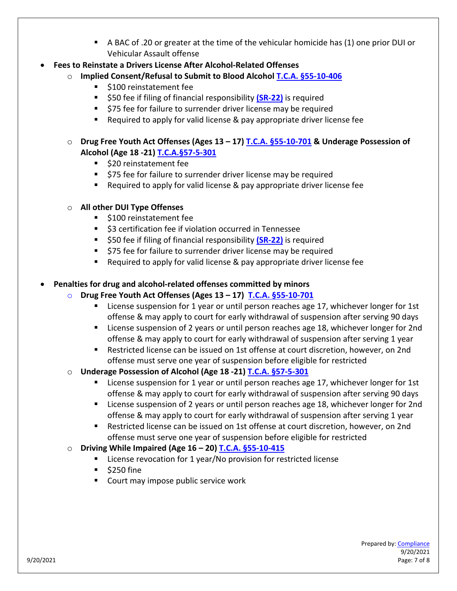- A BAC of .20 or greater at the time of the vehicular homicide has (1) one prior DUI or Vehicular Assault offense
- **Fees to Reinstate a Drivers License After Alcohol-Related Offenses** 
	- o **Implied Consent/Refusal to Submit to Blood Alcohol [T.C.A. §55-10-406](https://law.justia.com/codes/tennessee/2010/title-55/chapter-10/part-4/55-10-406/)**
		- \$100 reinstatement fee
		- **550 fee if filing of financial responsibility [\(SR-22\)](https://www.geico.com/information/sr22-details/)** is required
		- **575 fee for failure to surrender driver license may be required**
		- Required to apply for valid license & pay appropriate driver license fee
	- o **Drug Free Youth Act Offenses (Ages 13 – 17) [T.C.A. §55-10-701](https://law.justia.com/codes/tennessee/2010/title-55/chapter-10/part-7/55-10-701/) & Underage Possession of Alcohol (Age 18 -21) [T.C.A.§57-5-301](https://law.justia.com/codes/tennessee/2010/title-57/chapter-5/part-3/57-5-301/)**
		- **520 reinstatement fee**
		- **575 fee for failure to surrender driver license may be required**
		- Required to apply for valid license & pay appropriate driver license fee

### o **All other DUI Type Offenses**

- **5100 reinstatement fee**
- \$3 certification fee if violation occurred in Tennessee
- **550 fee if filing of financial responsibility [\(SR-22\)](https://www.geico.com/information/sr22-details/)** is required
- **575 fee for failure to surrender driver license may be required**
- Required to apply for valid license & pay appropriate driver license fee

### • **Penalties for drug and alcohol-related offenses committed by minors**

### o **Drug Free Youth Act Offenses (Ages 13 – 17) [T.C.A. §55-10-701](https://law.justia.com/codes/tennessee/2010/title-55/chapter-10/part-7/55-10-701/)**

- License suspension for 1 year or until person reaches age 17, whichever longer for 1st offense & may apply to court for early withdrawal of suspension after serving 90 days
- **EXT** License suspension of 2 years or until person reaches age 18, whichever longer for 2nd offense & may apply to court for early withdrawal of suspension after serving 1 year
- Restricted license can be issued on 1st offense at court discretion, however, on 2nd offense must serve one year of suspension before eligible for restricted
- o **Underage Possession of Alcohol (Age 18 -21) [T.C.A. §57-5-301](https://law.justia.com/codes/tennessee/2010/title-57/chapter-5/part-3/57-5-301/)**
	- **EXECT** License suspension for 1 year or until person reaches age 17, whichever longer for 1st offense & may apply to court for early withdrawal of suspension after serving 90 days
	- **EXECT** License suspension of 2 years or until person reaches age 18, whichever longer for 2nd offense & may apply to court for early withdrawal of suspension after serving 1 year
	- Restricted license can be issued on 1st offense at court discretion, however, on 2nd offense must serve one year of suspension before eligible for restricted
- o **Driving While Impaired (Age 16 – 20[\) T.C.A. §55-10-415](https://law.justia.com/codes/tennessee/2016/title-55/chapter-10/part-4/section-55-10-415/)**
	- License revocation for 1 year/No provision for restricted license
	- $\overline{\phantom{a}}$  \$250 fine
	- Court may impose public service work